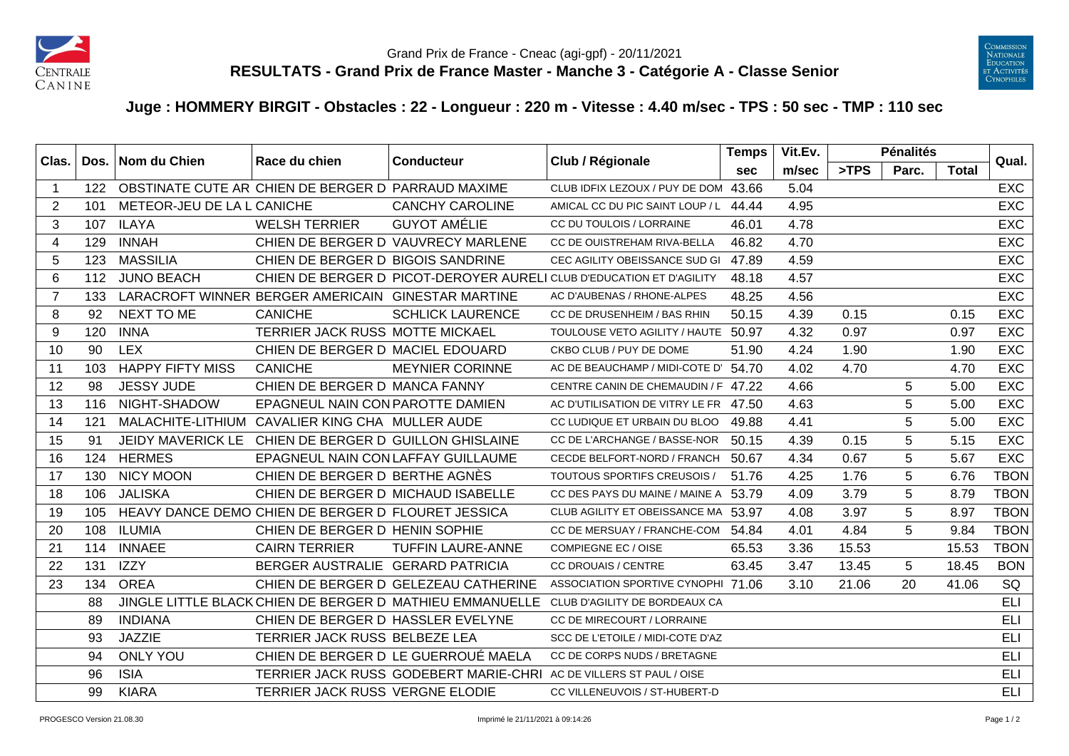



## **Juge : HOMMERY BIRGIT - Obstacles : 22 - Longueur : 220 m - Vitesse : 4.40 m/sec - TPS : 50 sec - TMP : 110 sec**

| Clas.          | Dos. | Nom du Chien                                           | Race du chien                                      | <b>Conducteur</b>                                        | Club / Régionale                                                     | <b>Temps</b> | Vit.Ev. |       | <b>Pénalités</b> |              | Qual.       |
|----------------|------|--------------------------------------------------------|----------------------------------------------------|----------------------------------------------------------|----------------------------------------------------------------------|--------------|---------|-------|------------------|--------------|-------------|
|                |      |                                                        |                                                    |                                                          |                                                                      | <b>sec</b>   | m/sec   | >TPS  | Parc.            | <b>Total</b> |             |
| -1             |      | 122 OBSTINATE CUTE AR CHIEN DE BERGER D PARRAUD MAXIME |                                                    |                                                          | CLUB IDFIX LEZOUX / PUY DE DOM 43.66                                 |              | 5.04    |       |                  |              | <b>EXC</b>  |
| 2              | 101  | METEOR-JEU DE LA L CANICHE                             |                                                    | <b>CANCHY CAROLINE</b>                                   | AMICAL CC DU PIC SAINT LOUP / L                                      | 44.44        | 4.95    |       |                  |              | <b>EXC</b>  |
| 3              | 107  | <b>ILAYA</b>                                           | <b>WELSH TERRIER</b>                               | <b>GUYOT AMÉLIE</b>                                      | CC DU TOULOIS / LORRAINE                                             | 46.01        | 4.78    |       |                  |              | <b>EXC</b>  |
| 4              | 129  | <b>INNAH</b>                                           |                                                    | CHIEN DE BERGER D VAUVRECY MARLENE                       | CC DE OUISTREHAM RIVA-BELLA                                          | 46.82        | 4.70    |       |                  |              | <b>EXC</b>  |
| 5              | 123  | <b>MASSILIA</b>                                        | CHIEN DE BERGER D BIGOIS SANDRINE                  |                                                          | CEC AGILITY OBEISSANCE SUD GI                                        | 47.89        | 4.59    |       |                  |              | EXC         |
| 6              | 112  | <b>JUNO BEACH</b>                                      |                                                    |                                                          | CHIEN DE BERGER D PICOT-DEROYER AURELI CLUB D'EDUCATION ET D'AGILITY | 48.18        | 4.57    |       |                  |              | <b>EXC</b>  |
| $\overline{7}$ | 133  |                                                        | LARACROFT WINNER BERGER AMERICAIN GINESTAR MARTINE |                                                          | AC D'AUBENAS / RHONE-ALPES                                           | 48.25        | 4.56    |       |                  |              | <b>EXC</b>  |
| 8              | 92   | NEXT TO ME                                             | <b>CANICHE</b>                                     | <b>SCHLICK LAURENCE</b>                                  | CC DE DRUSENHEIM / BAS RHIN                                          | 50.15        | 4.39    | 0.15  |                  | 0.15         | <b>EXC</b>  |
| 9              | 120  | <b>INNA</b>                                            | TERRIER JACK RUSS MOTTE MICKAEL                    |                                                          | TOULOUSE VETO AGILITY / HAUTE 50.97                                  |              | 4.32    | 0.97  |                  | 0.97         | <b>EXC</b>  |
| 10             | 90   | <b>LEX</b>                                             | CHIEN DE BERGER D MACIEL EDOUARD                   |                                                          | CKBO CLUB / PUY DE DOME                                              | 51.90        | 4.24    | 1.90  |                  | 1.90         | <b>EXC</b>  |
| 11             | 103  | <b>HAPPY FIFTY MISS</b>                                | <b>CANICHE</b>                                     | <b>MEYNIER CORINNE</b>                                   | AC DE BEAUCHAMP / MIDI-COTE D' 54.70                                 |              | 4.02    | 4.70  |                  | 4.70         | <b>EXC</b>  |
| 12             | 98   | <b>JESSY JUDE</b>                                      | CHIEN DE BERGER D MANCA FANNY                      |                                                          | CENTRE CANIN DE CHEMAUDIN / F 47.22                                  |              | 4.66    |       | 5                | 5.00         | EXC         |
| 13             | 116  | NIGHT-SHADOW                                           | EPAGNEUL NAIN CON PAROTTE DAMIEN                   |                                                          | AC D'UTILISATION DE VITRY LE FR 47.50                                |              | 4.63    |       | 5                | 5.00         | <b>EXC</b>  |
| 14             | 121  |                                                        | MALACHITE-LITHIUM CAVALIER KING CHA MULLER AUDE    |                                                          | CC LUDIQUE ET URBAIN DU BLOO                                         | 49.88        | 4.41    |       | 5                | 5.00         | <b>EXC</b>  |
| 15             | 91   | <b>JEIDY MAVERICK LE</b>                               | CHIEN DE BERGER D GUILLON GHISLAINE                |                                                          | CC DE L'ARCHANGE / BASSE-NOR                                         | 50.15        | 4.39    | 0.15  | 5                | 5.15         | <b>EXC</b>  |
| 16             | 124  | <b>HERMES</b>                                          | EPAGNEUL NAIN CON LAFFAY GUILLAUME                 |                                                          | CECDE BELFORT-NORD / FRANCH                                          | 50.67        | 4.34    | 0.67  | 5                | 5.67         | <b>EXC</b>  |
| 17             | 130  | <b>NICY MOON</b>                                       | CHIEN DE BERGER D BERTHE AGNÈS                     |                                                          | <b>TOUTOUS SPORTIFS CREUSOIS /</b>                                   | 51.76        | 4.25    | 1.76  | 5                | 6.76         | <b>TBON</b> |
| 18             | 106  | <b>JALISKA</b>                                         | CHIEN DE BERGER D MICHAUD ISABELLE                 |                                                          | CC DES PAYS DU MAINE / MAINE A 53.79                                 |              | 4.09    | 3.79  | 5                | 8.79         | <b>TBON</b> |
| 19             | 105  |                                                        | HEAVY DANCE DEMO CHIEN DE BERGER D FLOURET JESSICA |                                                          | CLUB AGILITY ET OBEISSANCE MA 53.97                                  |              | 4.08    | 3.97  | 5                | 8.97         | <b>TBON</b> |
| 20             | 108  | <b>ILUMIA</b>                                          | CHIEN DE BERGER D HENIN SOPHIE                     |                                                          | CC DE MERSUAY / FRANCHE-COM                                          | 54.84        | 4.01    | 4.84  | 5                | 9.84         | <b>TBON</b> |
| 21             | 114  | <b>INNAEE</b>                                          | <b>CAIRN TERRIER</b>                               | <b>TUFFIN LAURE-ANNE</b>                                 | <b>COMPIEGNE EC / OISE</b>                                           | 65.53        | 3.36    | 15.53 |                  | 15.53        | <b>TBON</b> |
| 22             | 131  | <b>IZZY</b>                                            | BERGER AUSTRALIE GERARD PATRICIA                   |                                                          | <b>CC DROUAIS / CENTRE</b>                                           | 63.45        | 3.47    | 13.45 | 5                | 18.45        | <b>BON</b>  |
| 23             | 134  | <b>OREA</b>                                            |                                                    | CHIEN DE BERGER D GELEZEAU CATHERINE                     | ASSOCIATION SPORTIVE CYNOPHI 71.06                                   |              | 3.10    | 21.06 | 20               | 41.06        | SQ          |
|                | 88   |                                                        |                                                    | JINGLE LITTLE BLACK CHIEN DE BERGER D MATHIEU EMMANUELLE | CLUB D'AGILITY DE BORDEAUX CA                                        |              |         |       |                  |              | <b>ELI</b>  |
|                | 89   | <b>INDIANA</b>                                         | CHIEN DE BERGER D HASSLER EVELYNE                  |                                                          | CC DE MIRECOURT / LORRAINE                                           |              |         |       |                  |              | <b>ELI</b>  |
|                | 93   | <b>JAZZIE</b>                                          | TERRIER JACK RUSS BELBEZE LEA                      |                                                          | SCC DE L'ETOILE / MIDI-COTE D'AZ                                     |              |         |       |                  |              | <b>ELI</b>  |
|                | 94   | <b>ONLY YOU</b>                                        |                                                    | CHIEN DE BERGER D LE GUERROUÉ MAELA                      | CC DE CORPS NUDS / BRETAGNE                                          |              |         |       |                  |              | <b>ELI</b>  |
|                | 96   | <b>ISIA</b>                                            |                                                    |                                                          | TERRIER JACK RUSS GODEBERT MARIE-CHRI AC DE VILLERS ST PAUL / OISE   |              |         |       |                  |              | <b>ELI</b>  |
|                | 99   | <b>KIARA</b>                                           | TERRIER JACK RUSS VERGNE ELODIE                    |                                                          | CC VILLENEUVOIS / ST-HUBERT-D                                        |              |         |       |                  |              | <b>ELI</b>  |